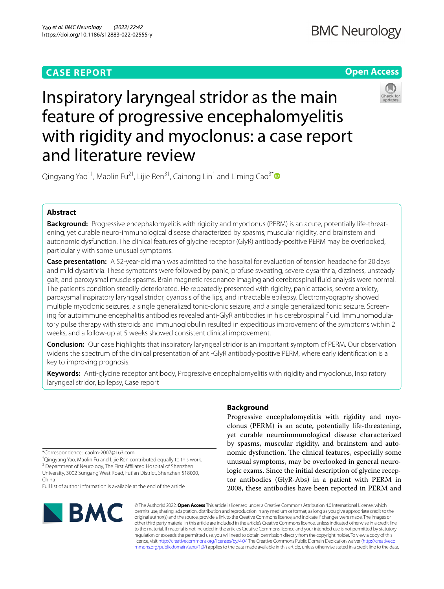# **CASE REPORT**

# **Open Access**



Inspiratory laryngeal stridor as the main feature of progressive encephalomyelitis with rigidity and myoclonus: a case report and literature review

Qingyang Yao<sup>1†</sup>, Maolin Fu<sup>2†</sup>, Lijie Ren<sup>3†</sup>, Caihong Lin<sup>1</sup> and Liming Cao<sup>3[\\*](http://orcid.org/0000-0003-2836-9347)</sup>

# **Abstract**

**Background:** Progressive encephalomyelitis with rigidity and myoclonus (PERM) is an acute, potentially life-threatening, yet curable neuro-immunological disease characterized by spasms, muscular rigidity, and brainstem and autonomic dysfunction. The clinical features of glycine receptor (GlyR) antibody-positive PERM may be overlooked, particularly with some unusual symptoms.

**Case presentation:** A 52-year-old man was admitted to the hospital for evaluation of tension headache for 20days and mild dysarthria. These symptoms were followed by panic, profuse sweating, severe dysarthria, dizziness, unsteady gait, and paroxysmal muscle spasms. Brain magnetic resonance imaging and cerebrospinal fuid analysis were normal. The patient's condition steadily deteriorated. He repeatedly presented with rigidity, panic attacks, severe anxiety, paroxysmal inspiratory laryngeal stridor, cyanosis of the lips, and intractable epilepsy. Electromyography showed multiple myoclonic seizures, a single generalized tonic-clonic seizure, and a single generalized tonic seizure. Screening for autoimmune encephalitis antibodies revealed anti-GlyR antibodies in his cerebrospinal fuid. Immunomodulatory pulse therapy with steroids and immunoglobulin resulted in expeditious improvement of the symptoms within 2 weeks, and a follow-up at 5 weeks showed consistent clinical improvement.

**Conclusion:** Our case highlights that inspiratory laryngeal stridor is an important symptom of PERM. Our observation widens the spectrum of the clinical presentation of anti-GlyR antibody-positive PERM, where early identifcation is a key to improving prognosis.

**Keywords:** Anti-glycine receptor antibody, Progressive encephalomyelitis with rigidity and myoclonus, Inspiratory laryngeal stridor, Epilepsy, Case report

\*Correspondence: caolm-2007@163.com

† Qingyang Yao, Maolin Fu and Lijie Ren contributed equally to this work. <sup>3</sup> Department of Neurology, The First Affiliated Hospital of Shenzhen University, 3002 Sungang West Road, Futian District, Shenzhen 518000, China

Full list of author information is available at the end of the article

# BMC

# **Background**

Progressive encephalomyelitis with rigidity and myoclonus (PERM) is an acute, potentially life-threatening, yet curable neuroimmunological disease characterized by spasms, muscular rigidity, and brainstem and autonomic dysfunction. The clinical features, especially some unusual symptoms, may be overlooked in general neurologic exams. Since the initial description of glycine receptor antibodies (GlyR-Abs) in a patient with PERM in 2008, these antibodies have been reported in PERM and

© The Author(s) 2022. **Open Access** This article is licensed under a Creative Commons Attribution 4.0 International License, which permits use, sharing, adaptation, distribution and reproduction in any medium or format, as long as you give appropriate credit to the original author(s) and the source, provide a link to the Creative Commons licence, and indicate if changes were made. The images or other third party material in this article are included in the article's Creative Commons licence, unless indicated otherwise in a credit line to the material. If material is not included in the article's Creative Commons licence and your intended use is not permitted by statutory regulation or exceeds the permitted use, you will need to obtain permission directly from the copyright holder. To view a copy of this licence, visit [http://creativecommons.org/licenses/by/4.0/.](http://creativecommons.org/licenses/by/4.0/) The Creative Commons Public Domain Dedication waiver ([http://creativeco](http://creativecommons.org/publicdomain/zero/1.0/) [mmons.org/publicdomain/zero/1.0/](http://creativecommons.org/publicdomain/zero/1.0/)) applies to the data made available in this article, unless otherwise stated in a credit line to the data.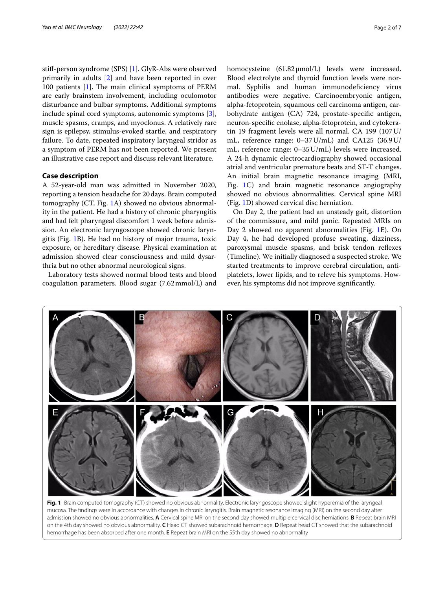stif-person syndrome (SPS) [[1\]](#page-6-0). GlyR-Abs were observed primarily in adults [[2\]](#page-6-1) and have been reported in over 100 patients  $[1]$  $[1]$ . The main clinical symptoms of PERM are early brainstem involvement, including oculomotor disturbance and bulbar symptoms. Additional symptoms include spinal cord symptoms, autonomic symptoms [\[3](#page-6-2)], muscle spasms, cramps, and myoclonus. A relatively rare sign is epilepsy, stimulus-evoked startle, and respiratory failure. To date, repeated inspiratory laryngeal stridor as a symptom of PERM has not been reported. We present an illustrative case report and discuss relevant literature.

# **Case description**

A 52-year-old man was admitted in November 2020, reporting a tension headache for 20days. Brain computed tomography (CT, Fig. [1A](#page-1-0)) showed no obvious abnormality in the patient. He had a history of chronic pharyngitis and had felt pharyngeal discomfort 1 week before admission. An electronic laryngoscope showed chronic laryngitis (Fig. [1](#page-1-0)B). He had no history of major trauma, toxic exposure, or hereditary disease. Physical examination at admission showed clear consciousness and mild dysarthria but no other abnormal neurological signs.

Laboratory tests showed normal blood tests and blood coagulation parameters. Blood sugar (7.62mmol/L) and homocysteine (61.82μmol/L) levels were increased. Blood electrolyte and thyroid function levels were normal. Syphilis and human immunodefciency virus antibodies were negative. Carcinoembryonic antigen, alpha-fetoprotein, squamous cell carcinoma antigen, carbohydrate antigen (CA) 724, prostate-specifc antigen, neuron-specifc enolase, alpha-fetoprotein, and cytokeratin 19 fragment levels were all normal. CA 199 (107U/ mL, reference range: 0–37U/mL) and CA125 (36.9U/ mL, reference range: 0–35U/mL) levels were increased. A 24-h dynamic electrocardiography showed occasional atrial and ventricular premature beats and ST-T changes. An initial brain magnetic resonance imaging (MRI, Fig. [1C](#page-1-0)) and brain magnetic resonance angiography showed no obvious abnormalities. Cervical spine MRI (Fig. [1D](#page-1-0)) showed cervical disc herniation.

On Day 2, the patient had an unsteady gait, distortion of the commissure, and mild panic. Repeated MRIs on Day 2 showed no apparent abnormalities (Fig. [1](#page-1-0)E). On Day 4, he had developed profuse sweating, dizziness, paroxysmal muscle spasms, and brisk tendon refexes (Timeline). We initially diagnosed a suspected stroke. We started treatments to improve cerebral circulation, antiplatelets, lower lipids, and to releve his symptoms. However, his symptoms did not improve signifcantly.



<span id="page-1-0"></span>**Fig. 1** Brain computed tomography (CT) showed no obvious abnormality. Electronic laryngoscope showed slight hyperemia of the laryngeal mucosa. The fndings were in accordance with changes in chronic laryngitis. Brain magnetic resonance imaging (MRI) on the second day after admission showed no obvious abnormalities. **A** Cervical spine MRI on the second day showed multiple cervical disc herniations. **B** Repeat brain MRI on the 4th day showed no obvious abnormality. **C** Head CT showed subarachnoid hemorrhage. **D** Repeat head CT showed that the subarachnoid hemorrhage has been absorbed after one month. **E** Repeat brain MRI on the 55th day showed no abnormality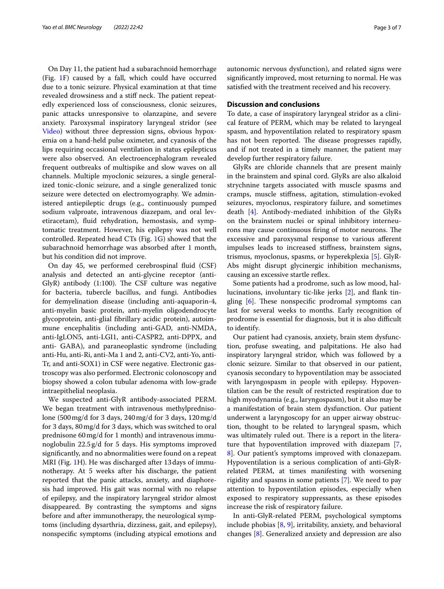On Day 11, the patient had a subarachnoid hemorrhage (Fig. [1](#page-1-0)F) caused by a fall, which could have occurred due to a tonic seizure. Physical examination at that time revealed drowsiness and a stiff neck. The patient repeatedly experienced loss of consciousness, clonic seizures, panic attacks unresponsive to olanzapine, and severe anxiety. Paroxysmal inspiratory laryngeal stridor (see [Video\)](#page-5-0) without three depression signs, obvious hypoxemia on a hand-held pulse oximeter, and cyanosis of the lips requiring occasional ventilation in status epilepticus were also observed. An electroencephalogram revealed frequent outbreaks of multispike and slow waves on all channels. Multiple myoclonic seizures, a single generalized tonic-clonic seizure, and a single generalized tonic seizure were detected on electromyography. We administered antiepileptic drugs (e.g., continuously pumped sodium valproate, intravenous diazepam, and oral levetiracetam), fuid rehydration, hemostasis, and symptomatic treatment. However, his epilepsy was not well controlled. Repeated head CTs (Fig. [1G](#page-1-0)) showed that the subarachnoid hemorrhage was absorbed after 1 month, but his condition did not improve.

On day 45, we performed cerebrospinal fuid (CSF) analysis and detected an anti-glycine receptor (anti-GlyR) antibody  $(1:100)$ . The CSF culture was negative for bacteria, tubercle bacillus, and fungi. Antibodies for demyelination disease (including anti-aquaporin-4, anti-myelin basic protein, anti-myelin oligodendrocyte glycoprotein, anti-glial fbrillary acidic protein), autoimmune encephalitis (including anti-GAD, anti-NMDA, anti-IgLON5, anti-LGI1, anti-CASPR2, anti-DPPX, and anti- GABA), and paraneoplastic syndrome (including anti-Hu, anti-Ri, anti-Ma 1 and 2, anti-CV2, anti-Yo, anti-Tr, and anti-SOX1) in CSF were negative. Electronic gastroscopy was also performed. Electronic colonoscopy and biopsy showed a colon tubular adenoma with low-grade intraepithelial neoplasia.

We suspected anti-GlyR antibody-associated PERM. We began treatment with intravenous methylprednisolone (500mg/d for 3 days, 240mg/d for 3 days, 120mg/d for 3 days, 80mg/d for 3 days, which was switched to oral prednisone 60mg/d for 1 month) and intravenous immunoglobulin 22.5g/d for 5 days. His symptoms improved signifcantly, and no abnormalities were found on a repeat MRI (Fig. [1](#page-1-0)H). He was discharged after 13days of immunotherapy. At 5 weeks after his discharge, the patient reported that the panic attacks, anxiety, and diaphoresis had improved. His gait was normal with no relapse of epilepsy, and the inspiratory laryngeal stridor almost disappeared. By contrasting the symptoms and signs before and after immunotherapy, the neurological symptoms (including dysarthria, dizziness, gait, and epilepsy), nonspecifc symptoms (including atypical emotions and autonomic nervous dysfunction), and related signs were signifcantly improved, most returning to normal. He was satisfed with the treatment received and his recovery.

# **Discussion and conclusions**

To date, a case of inspiratory laryngeal stridor as a clinical feature of PERM, which may be related to laryngeal spasm, and hypoventilation related to respiratory spasm has not been reported. The disease progresses rapidly, and if not treated in a timely manner, the patient may develop further respiratory failure.

GlyRs are chloride channels that are present mainly in the brainstem and spinal cord. GlyRs are also alkaloid strychnine targets associated with muscle spasms and cramps, muscle stifness, agitation, stimulation-evoked seizures, myoclonus, respiratory failure, and sometimes death [[4\]](#page-6-3). Antibody-mediated inhibition of the GlyRs on the brainstem nuclei or spinal inhibitory interneurons may cause continuous firing of motor neurons. The excessive and paroxysmal response to various aferent impulses leads to increased stifness, brainstem signs, trismus, myoclonus, spasms, or hyperekplexia [\[5](#page-6-4)]. GlyR-Abs might disrupt glycinergic inhibition mechanisms, causing an excessive startle reflex.

Some patients had a prodrome, such as low mood, hal-lucinations, involuntary tic-like jerks [\[2](#page-6-1)], and flank tingling  $[6]$  $[6]$ . These nonspecific prodromal symptoms can last for several weeks to months. Early recognition of prodrome is essential for diagnosis, but it is also difficult to identify.

Our patient had cyanosis, anxiety, brain stem dysfunction, profuse sweating, and palpitations. He also had inspiratory laryngeal stridor, which was followed by a clonic seizure. Similar to that observed in our patient, cyanosis secondary to hypoventilation may be associated with laryngospasm in people with epilepsy. Hypoventilation can be the result of restricted respiration due to high myodynamia (e.g., laryngospasm), but it also may be a manifestation of brain stem dysfunction. Our patient underwent a laryngoscopy for an upper airway obstruction, thought to be related to laryngeal spasm, which was ultimately ruled out. There is a report in the literature that hypoventilation improved with diazepam [\[7](#page-6-6), [8\]](#page-6-7). Our patient's symptoms improved with clonazepam. Hypoventilation is a serious complication of anti-GlyRrelated PERM, at times manifesting with worsening rigidity and spasms in some patients [\[7](#page-6-6)]. We need to pay attention to hypoventilation episodes, especially when exposed to respiratory suppressants, as these episodes increase the risk of respiratory failure.

In anti-GlyR-related PERM, psychological symptoms include phobias [\[8](#page-6-7), [9](#page-6-8)], irritability, anxiety, and behavioral changes [[8](#page-6-7)]. Generalized anxiety and depression are also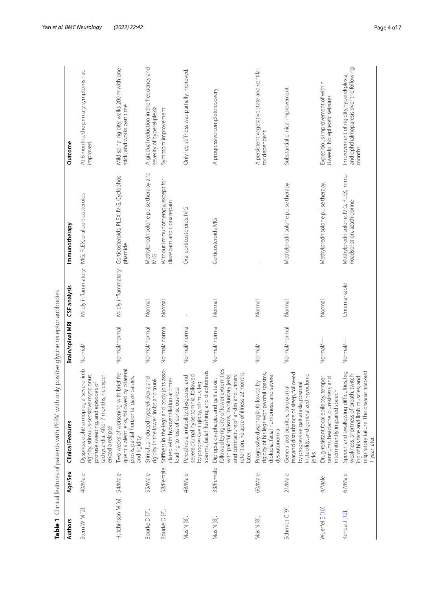|                         |           | Table 1 Clinical features of patients with PERM with                                                                                                                                                                      | only positive glycine receptor antibodies |                     |                                                                   |                                                                                               |
|-------------------------|-----------|---------------------------------------------------------------------------------------------------------------------------------------------------------------------------------------------------------------------------|-------------------------------------------|---------------------|-------------------------------------------------------------------|-----------------------------------------------------------------------------------------------|
| <b>Authors</b>          | Age/Sex   | Clinical Features                                                                                                                                                                                                         | Brain/spinal MRI                          | CSF analysis        | Immunotherapy                                                     | Outcome                                                                                       |
| Stern W M [2].          | 40/Male   | Dyspnea, ophthalmoplegia, severe limb<br>tachycardia. After 7 months, he experi-<br>rigidity, stimulus-sensitive myoclonus,<br>profuse sweating, and episodes of<br>enced a relapse                                       | Normal/-                                  |                     | Mildly inflammatory IVIG, PLEX, oral corticosteroids              | At 6 months, the primary symptoms had<br>improved.                                            |
| Hutchinson M [6].       | 54/Male   | quent violent jerks, followed by bilateral<br>Two weeks of worsening with brief fre-<br>ptosis, partial horizontal gaze palsies,<br>and rigidity                                                                          | Normal/normal                             | Mildly inflammatory | Corticosteroids, PLEX, IVIG, Cyclophos-<br>phamide                | Mild spinal rigidity, walks 200 m with one<br>stick, and works part time                      |
| Bourke D <sub>[7]</sub> | 55/Male   | Stimulus-induced hyperekplexia and<br>igidity in the lower limbs and trunk                                                                                                                                                | Normal/normal                             | Normal              | Methylprednisolone pulse therapy and<br>$\frac{1}{2}$             | A gradual reduction in the frequency and<br>severity of hyperekplexia                         |
| Bourke D[7].            | 58/Female | Stiffness in the legs and body jolts asso-<br>ciated with hypoventilation at times<br>eading to loss of consciousness                                                                                                     | Normal/normal                             | Normal              | Without immunotherapy, except for<br>diazepam and clonazepam      | Symptom improvement                                                                           |
| Mas N [8].              | 48/Male   | diaphoresis.<br>Paresthesia, irritability, dysgeusia, and<br>severe diurnal hypersomnia, followed<br>by progressive rigidity, trismus, leg<br>spasms, facial flushing, and                                                | Normal/normal                             |                     | Oral corticosteroids, IVIG                                        | Only leg stiffness was partially improved.                                                    |
| Mas N [8].              | 33/Female | followed by rigidity of lower extremities<br>etention. Relapse of illness 22 months<br>with painful spasms, involuntary jerks,<br>and contracture of ankles and urinary<br>Diplopia, dysphagia, and gait ataxia,<br>ater. | Normal/normal                             | Normal              | Corticosteroids, MG                                               | A progressive completerecovery                                                                |
| Mas N [8].              | 60/Male   | rigidity of his legs with painful spasms,<br>and severe<br>Progressive dysphagia, followed by<br>diplopia, facial numbness,<br>dysautonomia                                                                               | Normal/-                                  | Normal              |                                                                   | A persistent vegetative state and ventila-<br>tor dependent                                   |
| Schmidt C [9].          | 21/Male   | ear, and disturbance of sleep, followed<br>myoclonic<br>by progressive gait ataxia, postural<br>instability, and generalized myoclo<br>Generalized pruritus, paroxysmal<br>ierks                                          | Normal/normal                             | Normal              | Methylprednisolone pulse therapy                                  | Substantial clinical improvement                                                              |
| Wuerfel E [10].         | 4/Male    | antrums, headache, clumsiness, and<br>Orug-resistant focal epilepsy, temper<br>ntermittently impaired speech                                                                                                              | Normal/-                                  | Normal              | Methylprednisolone pulse therapy.                                 | Expeditious improvement of within<br>8 weeks. No epileptic seizures                           |
| Kenda J [12].           | 67/Male   | respiratory failure. The disease relapsed<br>Speech and swallowing difficulties, leg<br>weakness, shortness of breath, twitch-<br>ing of his face and limb muscles, and<br>1 year later.                                  | Normal/-                                  | Unremarkable        | Methylprednisolone, MG, PLEX, immu-<br>noadsorption, azathioprine | and ophthalmoparesis over the following<br>Improvement of rigidity, hyperekplexia,<br>months. |

<span id="page-3-0"></span>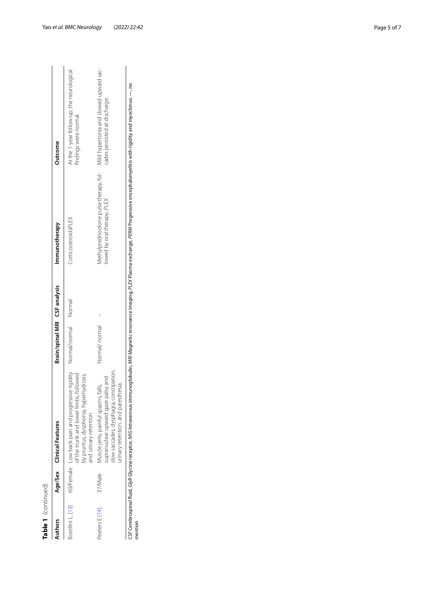| ı<br>j |
|--------|
|        |
|        |
|        |
|        |
|        |
|        |
|        |
|        |
|        |
| ۹      |
|        |
|        |
|        |
|        |
|        |

| Authors           |         | Age/Sex Clinical Features                                                                                                                                                                                | Brain/spinal MRI CSF analysis |        | Immunotherapy                                                         | Outcome                                                                 |
|-------------------|---------|----------------------------------------------------------------------------------------------------------------------------------------------------------------------------------------------------------|-------------------------------|--------|-----------------------------------------------------------------------|-------------------------------------------------------------------------|
| Borellini L. [13] |         | 60/Female Low back pain and progressive rigidity Normal/normal<br>of the trunk and lower limbs, followed<br>by pruritus, dysphonia, hyperhydrosis,<br>and urinary retention                              |                               | Normal | CorticosteroidsPLEX                                                   | At the 1-year follow-up, the neurological<br>findings were normal.      |
| Peeters E [14].   | 37/Male | slow saccades, dysphagia, constipation,<br>upranuclear upward gaze palsy and<br>urinary retention, and paresthesia.<br>Muscle jerks, painful spasms, falls,                                              | Normal/normal                 | I      | Methylprednisolone pulse therapy, fol-<br>lowed by oral therapy; PLEX | Mild hypertonia and slowed upward sac-<br>cades persisted at discharge. |
| mention           |         | CSF Cerebrospinal fluid, Glyxline receptor, IVIG Intravenous immunoglobulin, MRI Magnetic resonance imaging, PLEX Plasma exchange, PERM Progressive encephalomyelitis with rigidity and myoclonus; —, no |                               |        |                                                                       |                                                                         |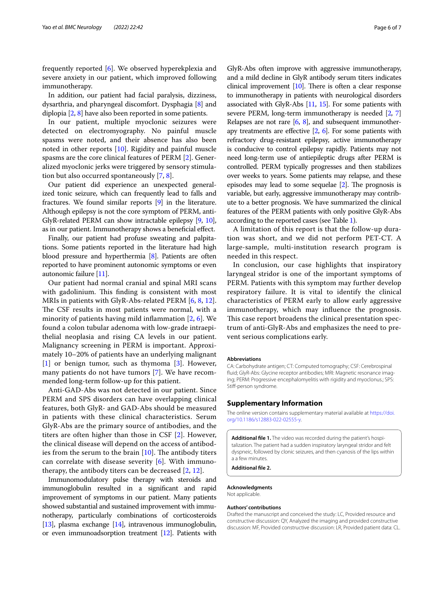frequently reported [\[6\]](#page-6-5). We observed hyperekplexia and severe anxiety in our patient, which improved following immunotherapy.

In addition, our patient had facial paralysis, dizziness, dysarthria, and pharyngeal discomfort. Dysphagia [[8\]](#page-6-7) and diplopia [[2](#page-6-1), [8](#page-6-7)] have also been reported in some patients.

In our patient, multiple myoclonic seizures were detected on electromyography. No painful muscle spasms were noted, and their absence has also been noted in other reports [[10\]](#page-6-9). Rigidity and painful muscle spasms are the core clinical features of PERM [[2\]](#page-6-1). Generalized myoclonic jerks were triggered by sensory stimulation but also occurred spontaneously [\[7](#page-6-6), [8\]](#page-6-7).

Our patient did experience an unexpected generalized tonic seizure, which can frequently lead to falls and fractures. We found similar reports [\[9\]](#page-6-8) in the literature. Although epilepsy is not the core symptom of PERM, anti-GlyR-related PERM can show intractable epilepsy [\[9](#page-6-8), [10](#page-6-9)], as in our patient. Immunotherapy shows a benefcial efect.

Finally, our patient had profuse sweating and palpitations. Some patients reported in the literature had high blood pressure and hyperthermia [[8](#page-6-7)]. Patients are often reported to have prominent autonomic symptoms or even autonomic failure [[11](#page-6-13)].

Our patient had normal cranial and spinal MRI scans with gadolinium. This finding is consistent with most MRIs in patients with GlyR-Abs-related PERM [[6,](#page-6-5) [8](#page-6-7), [12](#page-6-10)]. The CSF results in most patients were normal, with a minority of patients having mild inflammation  $[2, 6]$  $[2, 6]$  $[2, 6]$ . We found a colon tubular adenoma with low-grade intraepithelial neoplasia and rising CA levels in our patient. Malignancy screening in PERM is important. Approximately 10–20% of patients have an underlying malignant [[1\]](#page-6-0) or benign tumor, such as thymoma [\[3](#page-6-2)]. However, many patients do not have tumors [[7\]](#page-6-6). We have recommended long-term follow-up for this patient.

Anti-GAD-Abs was not detected in our patient. Since PERM and SPS disorders can have overlapping clinical features, both GlyR- and GAD-Abs should be measured in patients with these clinical characteristics. Serum GlyR-Abs are the primary source of antibodies, and the titers are often higher than those in CSF [\[2](#page-6-1)]. However, the clinical disease will depend on the access of antibodies from the serum to the brain  $[10]$  $[10]$ . The antibody titers can correlate with disease severity [[6\]](#page-6-5). With immunotherapy, the antibody titers can be decreased [\[2,](#page-6-1) [12](#page-6-10)].

Immunomodulatory pulse therapy with steroids and immunoglobulin resulted in a signifcant and rapid improvement of symptoms in our patient. Many patients showed substantial and sustained improvement with immunotherapy, particularly combinations of corticosteroids [[13](#page-6-11)], plasma exchange [[14](#page-6-12)], intravenous immunoglobulin, or even immunoadsorption treatment [[12](#page-6-10)]. Patients with

GlyR-Abs often improve with aggressive immunotherapy, and a mild decline in GlyR antibody serum titers indicates clinical improvement  $[10]$  $[10]$ . There is often a clear response to immunotherapy in patients with neurological disorders associated with GlyR-Abs [\[11,](#page-6-13) [15\]](#page-6-14). For some patients with severe PERM, long-term immunotherapy is needed [\[2,](#page-6-1) [7](#page-6-6)] Relapses are not rare  $[6, 8]$  $[6, 8]$  $[6, 8]$ , and subsequent immunotherapy treatments are effective  $[2, 6]$  $[2, 6]$  $[2, 6]$ . For some patients with refractory drug-resistant epilepsy, active immunotherapy is conducive to control epilepsy rapidly. Patients may not need long-term use of antiepileptic drugs after PERM is controlled. PERM typically progresses and then stabilizes over weeks to years. Some patients may relapse, and these episodes may lead to some sequelae  $[2]$ . The prognosis is variable, but early, aggressive immunotherapy may contribute to a better prognosis. We have summarized the clinical features of the PERM patients with only positive GlyR-Abs according to the reported cases (see Table [1\)](#page-3-0).

A limitation of this report is that the follow-up duration was short, and we did not perform PET-CT. A large-sample, multi-institution research program is needed in this respect.

In conclusion, our case highlights that inspiratory laryngeal stridor is one of the important symptoms of PERM. Patients with this symptom may further develop respiratory failure. It is vital to identify the clinical characteristics of PERM early to allow early aggressive immunotherapy, which may infuence the prognosis. This case report broadens the clinical presentation spectrum of anti-GlyR-Abs and emphasizes the need to prevent serious complications early.

#### **Abbreviations**

CA: Carbohydrate antigen; CT: Computed tomography; CSF: Cerebrospinal fuid; GlyR-Abs: Glycine receptor antibodies; MRI: Magnetic resonance imaging; PERM: Progressive encephalomyelitis with rigidity and myoclonus.; SPS: Stif-person syndrome.

### **Supplementary Information**

The online version contains supplementary material available at [https://doi.](https://doi.org/10.1186/s12883-022-02555-y) [org/10.1186/s12883-022-02555-y.](https://doi.org/10.1186/s12883-022-02555-y)

<span id="page-5-0"></span>**Additional fle 1.** The video was recorded during the patient's hospitalization. The patient had a sudden inspiratory laryngeal stridor and felt dyspneic, followed by clonic seizures, and then cyanosis of the lips within a a few minutes.

**Additional fle 2.**

# **Acknowledgments**

Not applicable.

#### **Authors' contributions**

Drafted the manuscript and conceived the study: LC, Provided resource and constructive discussion: QY, Analyzed the imaging and provided constructive discussion: MF, Provided constructive discussion: LR, Provided patient data: CL.